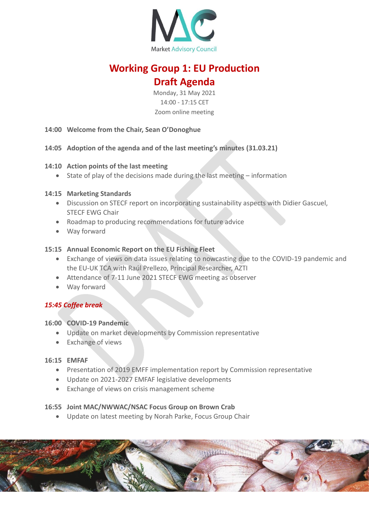

# **Working Group 1: EU Production Draft Agenda**

Monday, 31 May 2021 14:00 - 17:15 CET Zoom online meeting

- **14:00 Welcome from the Chair, Sean O'Donoghue**
- **14:05 Adoption of the agenda and of the last meeting's minutes (31.03.21)**

## **14:10 Action points of the last meeting**

• State of play of the decisions made during the last meeting – information

## **14:15 Marketing Standards**

- Discussion on STECF report on incorporating sustainability aspects with Didier Gascuel, STECF EWG Chair
- Roadmap to producing recommendations for future advice
- Way forward

## **15:15 Annual Economic Report on the EU Fishing Fleet**

- Exchange of views on data issues relating to nowcasting due to the COVID-19 pandemic and the EU-UK TCA with Raúl Prellezo, Principal Researcher, AZTI
- Attendance of 7-11 June 2021 STECF EWG meeting as observer
- Way forward

# *15:45 Coffee break*

## **16:00 COVID-19 Pandemic**

- Update on market developments by Commission representative
- Exchange of views

## **16:15 EMFAF**

- Presentation of 2019 EMFF implementation report by Commission representative
- Update on 2021-2027 EMFAF legislative developments
- Exchange of views on crisis management scheme

## **16:55 Joint MAC/NWWAC/NSAC Focus Group on Brown Crab**

• Update on latest meeting by Norah Parke, Focus Group Chair